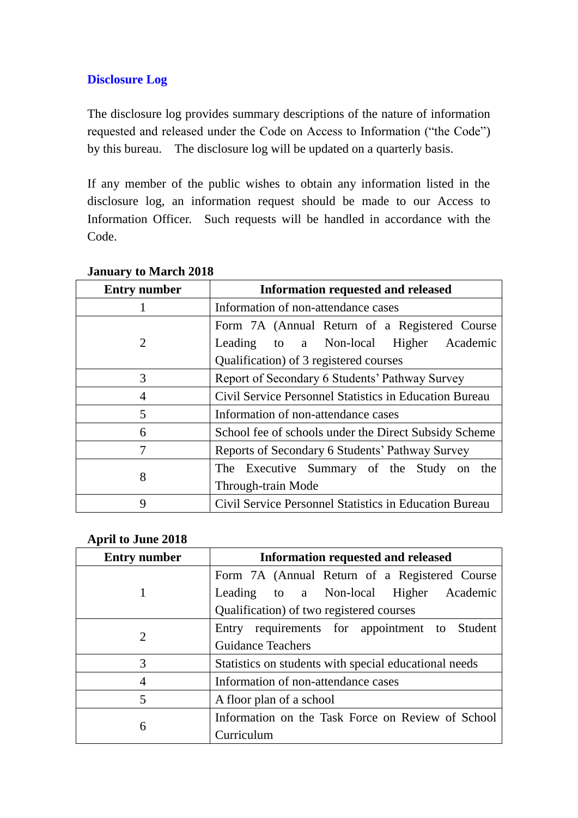# **Disclosure Log**

The disclosure log provides summary descriptions of the nature of information requested and released under the Code on Access to Information ("the Code") by this bureau. The disclosure log will be updated on a quarterly basis.

If any member of the public wishes to obtain any information listed in the disclosure log, an information request should be made to our Access to Information Officer. Such requests will be handled in accordance with the Code.

| <b>Entry number</b> | <b>Information requested and released</b>              |
|---------------------|--------------------------------------------------------|
|                     | Information of non-attendance cases                    |
| 2                   | Form 7A (Annual Return of a Registered Course          |
|                     | Leading to a Non-local Higher Academic                 |
|                     | Qualification) of 3 registered courses                 |
| 3                   | Report of Secondary 6 Students' Pathway Survey         |
| 4                   | Civil Service Personnel Statistics in Education Bureau |
| 5                   | Information of non-attendance cases                    |
| 6                   | School fee of schools under the Direct Subsidy Scheme  |
| 7                   | Reports of Secondary 6 Students' Pathway Survey        |
| 8                   | The Executive Summary of the Study on the              |
|                     | Through-train Mode                                     |
| 9                   | Civil Service Personnel Statistics in Education Bureau |

### **January to March 2018**

#### **April to June 2018**

| <b>Entry number</b> | <b>Information requested and released</b>             |
|---------------------|-------------------------------------------------------|
|                     | Form 7A (Annual Return of a Registered Course         |
|                     | Leading to a Non-local Higher Academic                |
|                     | Qualification) of two registered courses              |
| 2                   | Entry requirements for appointment to Student         |
|                     | <b>Guidance Teachers</b>                              |
| 3                   | Statistics on students with special educational needs |
|                     | Information of non-attendance cases                   |
| 5                   | A floor plan of a school                              |
| 6                   | Information on the Task Force on Review of School     |
|                     | Curriculum                                            |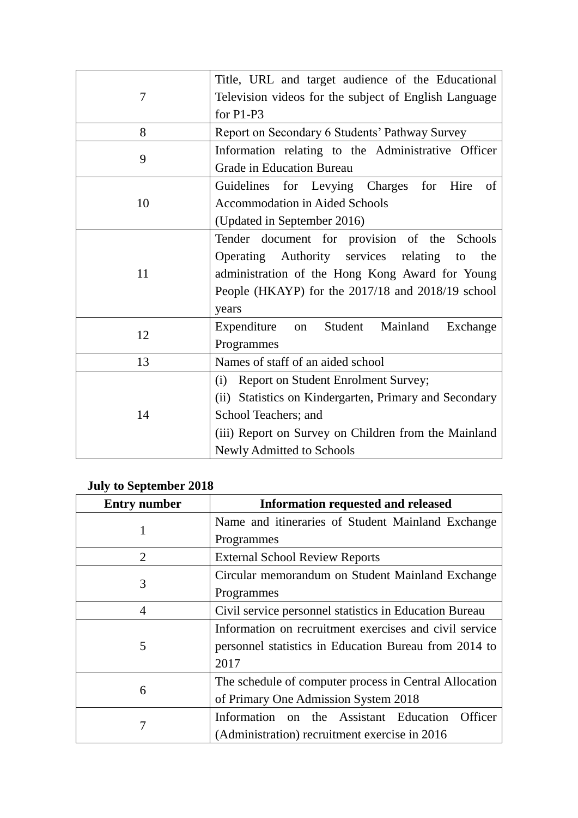| 7  | Title, URL and target audience of the Educational      |
|----|--------------------------------------------------------|
|    | Television videos for the subject of English Language  |
|    | for P1-P3                                              |
| 8  | Report on Secondary 6 Students' Pathway Survey         |
| 9  | Information relating to the Administrative Officer     |
|    | <b>Grade in Education Bureau</b>                       |
| 10 | Guidelines for Levying Charges for Hire<br>of          |
|    | <b>Accommodation in Aided Schools</b>                  |
|    | (Updated in September 2016)                            |
| 11 | Tender document for provision of the Schools           |
|    | Operating Authority services relating<br>the<br>to     |
|    | administration of the Hong Kong Award for Young        |
|    | People (HKAYP) for the 2017/18 and 2018/19 school      |
|    | years                                                  |
| 12 | Student Mainland<br>Expenditure<br>Exchange<br>on      |
|    | Programmes                                             |
| 13 | Names of staff of an aided school                      |
| 14 | Report on Student Enrolment Survey;<br>(i)             |
|    | (ii) Statistics on Kindergarten, Primary and Secondary |
|    | School Teachers; and                                   |
|    | (iii) Report on Survey on Children from the Mainland   |
|    | Newly Admitted to Schools                              |

## **July to September 2018**

| <b>Entry number</b> | <b>Information requested and released</b>              |
|---------------------|--------------------------------------------------------|
|                     | Name and itineraries of Student Mainland Exchange      |
|                     | Programmes                                             |
| 2                   | <b>External School Review Reports</b>                  |
| 3                   | Circular memorandum on Student Mainland Exchange       |
|                     | Programmes                                             |
| 4                   | Civil service personnel statistics in Education Bureau |
| 5                   | Information on recruitment exercises and civil service |
|                     | personnel statistics in Education Bureau from 2014 to  |
|                     | 2017                                                   |
| 6                   | The schedule of computer process in Central Allocation |
|                     | of Primary One Admission System 2018                   |
| 7                   | Information on the Assistant Education<br>Officer      |
|                     | (Administration) recruitment exercise in 2016          |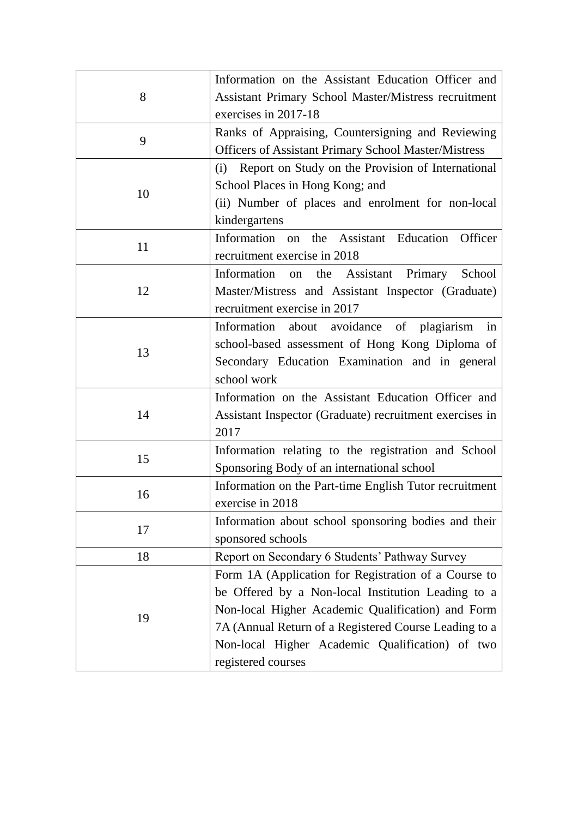| 8  | Information on the Assistant Education Officer and          |
|----|-------------------------------------------------------------|
|    | Assistant Primary School Master/Mistress recruitment        |
|    | exercises in 2017-18                                        |
|    | Ranks of Appraising, Countersigning and Reviewing           |
| 9  |                                                             |
|    | <b>Officers of Assistant Primary School Master/Mistress</b> |
| 10 | Report on Study on the Provision of International<br>(i)    |
|    | School Places in Hong Kong; and                             |
|    | (ii) Number of places and enrolment for non-local           |
|    | kindergartens                                               |
| 11 | Information on the Assistant Education Officer              |
|    | recruitment exercise in 2018                                |
|    | Information on the Assistant<br>Primary<br>School           |
| 12 | Master/Mistress and Assistant Inspector (Graduate)          |
|    | recruitment exercise in 2017                                |
|    | Information about avoidance of plagiarism in                |
|    | school-based assessment of Hong Kong Diploma of             |
| 13 | Secondary Education Examination and in general              |
|    | school work                                                 |
|    | Information on the Assistant Education Officer and          |
| 14 | Assistant Inspector (Graduate) recruitment exercises in     |
|    | 2017                                                        |
|    | Information relating to the registration and School         |
| 15 | Sponsoring Body of an international school                  |
| 16 | Information on the Part-time English Tutor recruitment      |
|    | exercise in 2018                                            |
| 17 | Information about school sponsoring bodies and their        |
|    | sponsored schools                                           |
| 18 | Report on Secondary 6 Students' Pathway Survey              |
|    | Form 1A (Application for Registration of a Course to        |
| 19 | be Offered by a Non-local Institution Leading to a          |
|    | Non-local Higher Academic Qualification) and Form           |
|    | 7A (Annual Return of a Registered Course Leading to a       |
|    | Non-local Higher Academic Qualification) of two             |
|    | registered courses                                          |
|    |                                                             |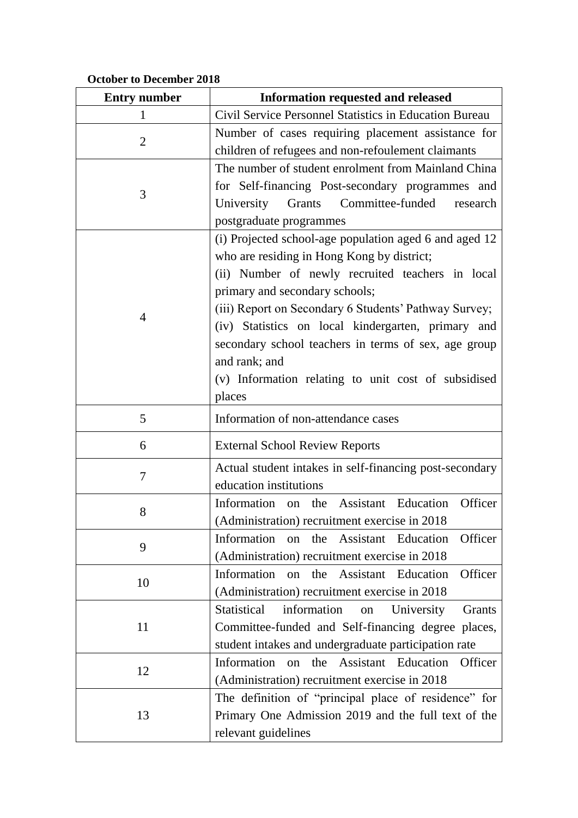## **October to December 2018**

| <b>Entry number</b> | <b>Information requested and released</b>                                                                                                                                                                                                                                                                                                                                                                                                           |
|---------------------|-----------------------------------------------------------------------------------------------------------------------------------------------------------------------------------------------------------------------------------------------------------------------------------------------------------------------------------------------------------------------------------------------------------------------------------------------------|
| 1                   | Civil Service Personnel Statistics in Education Bureau                                                                                                                                                                                                                                                                                                                                                                                              |
| 2                   | Number of cases requiring placement assistance for<br>children of refugees and non-refoulement claimants                                                                                                                                                                                                                                                                                                                                            |
| 3                   | The number of student enrolment from Mainland China<br>for Self-financing Post-secondary programmes and<br>Committee-funded research<br>University<br>Grants<br>postgraduate programmes                                                                                                                                                                                                                                                             |
| 4                   | (i) Projected school-age population aged 6 and aged 12<br>who are residing in Hong Kong by district;<br>(ii) Number of newly recruited teachers in local<br>primary and secondary schools;<br>(iii) Report on Secondary 6 Students' Pathway Survey;<br>(iv) Statistics on local kindergarten, primary and<br>secondary school teachers in terms of sex, age group<br>and rank; and<br>(v) Information relating to unit cost of subsidised<br>places |
| 5                   | Information of non-attendance cases                                                                                                                                                                                                                                                                                                                                                                                                                 |
| 6                   | <b>External School Review Reports</b>                                                                                                                                                                                                                                                                                                                                                                                                               |
| 7                   | Actual student intakes in self-financing post-secondary<br>education institutions                                                                                                                                                                                                                                                                                                                                                                   |
| 8                   | <b>Assistant</b> Education<br>Officer<br>Information<br>the<br>on<br>(Administration) recruitment exercise in 2018                                                                                                                                                                                                                                                                                                                                  |
| 9                   | Officer<br>Information on the Assistant Education<br>(Administration) recruitment exercise in 2018                                                                                                                                                                                                                                                                                                                                                  |
| 10                  | Information on the Assistant Education<br>Officer<br>(Administration) recruitment exercise in 2018                                                                                                                                                                                                                                                                                                                                                  |
| 11                  | information<br><b>Statistical</b><br>University<br>Grants<br>on<br>Committee-funded and Self-financing degree places,<br>student intakes and undergraduate participation rate                                                                                                                                                                                                                                                                       |
| 12                  | Information on the Assistant Education<br>Officer<br>(Administration) recruitment exercise in 2018                                                                                                                                                                                                                                                                                                                                                  |
| 13                  | The definition of "principal place of residence" for<br>Primary One Admission 2019 and the full text of the<br>relevant guidelines                                                                                                                                                                                                                                                                                                                  |